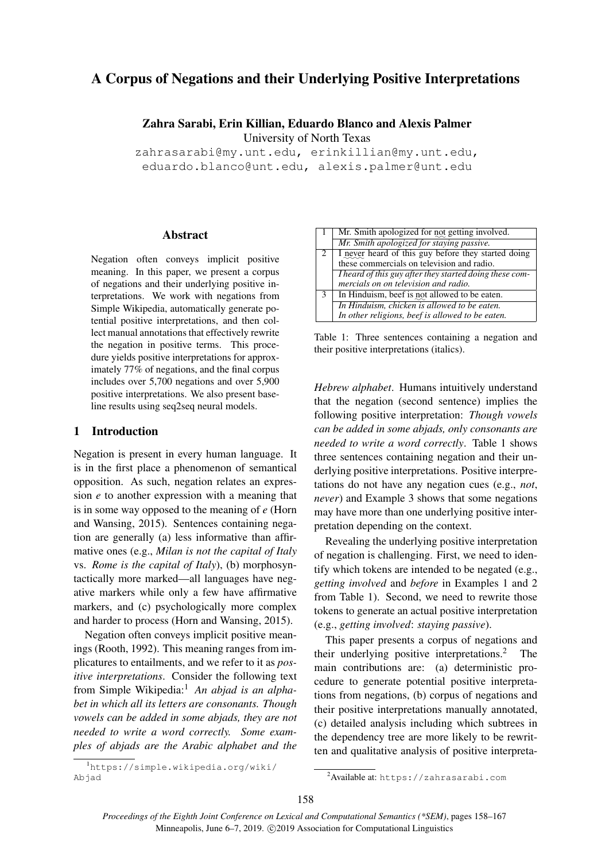# A Corpus of Negations and their Underlying Positive Interpretations

Zahra Sarabi, Erin Killian, Eduardo Blanco and Alexis Palmer

University of North Texas

zahrasarabi@my.unt.edu, erinkillian@my.unt.edu, eduardo.blanco@unt.edu, alexis.palmer@unt.edu

### Abstract

Negation often conveys implicit positive meaning. In this paper, we present a corpus of negations and their underlying positive interpretations. We work with negations from Simple Wikipedia, automatically generate potential positive interpretations, and then collect manual annotations that effectively rewrite the negation in positive terms. This procedure yields positive interpretations for approximately 77% of negations, and the final corpus includes over 5,700 negations and over 5,900 positive interpretations. We also present baseline results using seq2seq neural models.

# 1 Introduction

Negation is present in every human language. It is in the first place a phenomenon of semantical opposition. As such, negation relates an expression *e* to another expression with a meaning that is in some way opposed to the meaning of *e* (Horn and Wansing, 2015). Sentences containing negation are generally (a) less informative than affirmative ones (e.g., *Milan is not the capital of Italy* vs. *Rome is the capital of Italy*), (b) morphosyntactically more marked—all languages have negative markers while only a few have affirmative markers, and (c) psychologically more complex and harder to process (Horn and Wansing, 2015).

Negation often conveys implicit positive meanings (Rooth, 1992). This meaning ranges from implicatures to entailments, and we refer to it as *positive interpretations*. Consider the following text from Simple Wikipedia:<sup>1</sup> An abjad is an alpha*bet in which all its letters are consonants. Though vowels can be added in some abjads, they are not needed to write a word correctly. Some examples of abjads are the Arabic alphabet and the*

<sup>1</sup>https://simple.wikipedia.org/wiki/ Abjad

|               | Mr. Smith apologized for not getting involved.          |
|---------------|---------------------------------------------------------|
|               | Mr. Smith apologized for staying passive.               |
| 2             | I never heard of this guy before they started doing     |
|               | these commercials on television and radio.              |
|               | I heard of this guy after they started doing these com- |
|               | mercials on on television and radio.                    |
| $\mathcal{R}$ | In Hinduism, beef is not allowed to be eaten.           |
|               | In Hinduism, chicken is allowed to be eaten.            |
|               | In other religions, beef is allowed to be eaten.        |

Table 1: Three sentences containing a negation and their positive interpretations (italics).

*Hebrew alphabet*. Humans intuitively understand that the negation (second sentence) implies the following positive interpretation: *Though vowels can be added in some abjads, only consonants are needed to write a word correctly*. Table 1 shows three sentences containing negation and their underlying positive interpretations. Positive interpretations do not have any negation cues (e.g., *not*, *never*) and Example 3 shows that some negations may have more than one underlying positive interpretation depending on the context.

Revealing the underlying positive interpretation of negation is challenging. First, we need to identify which tokens are intended to be negated (e.g., *getting involved* and *before* in Examples 1 and 2 from Table 1). Second, we need to rewrite those tokens to generate an actual positive interpretation (e.g., *getting involved*: *staying passive*).

This paper presents a corpus of negations and their underlying positive interpretations.<sup>2</sup> The main contributions are: (a) deterministic procedure to generate potential positive interpretations from negations, (b) corpus of negations and their positive interpretations manually annotated, (c) detailed analysis including which subtrees in the dependency tree are more likely to be rewritten and qualitative analysis of positive interpreta-

<sup>2</sup>Available at: https://zahrasarabi.com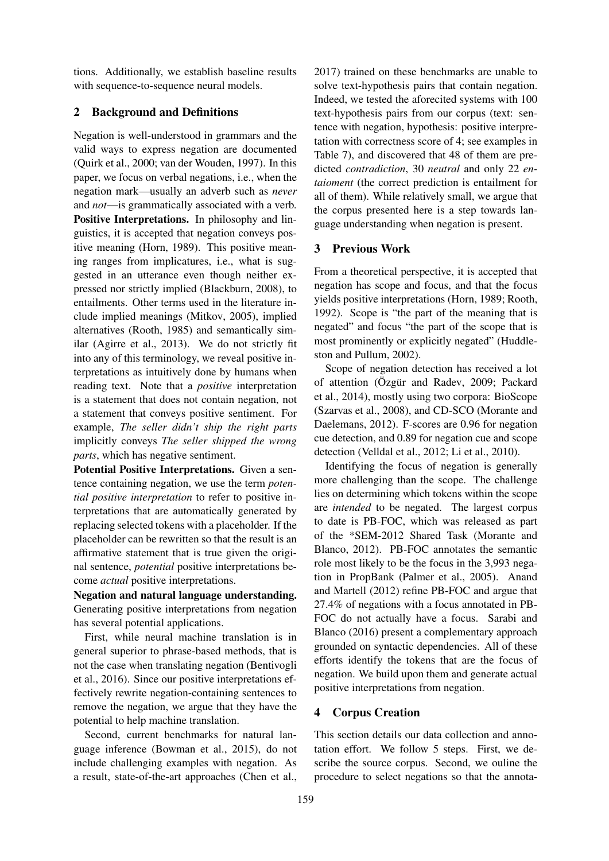tions. Additionally, we establish baseline results with sequence-to-sequence neural models.

# 2 Background and Definitions

Negation is well-understood in grammars and the valid ways to express negation are documented (Quirk et al., 2000; van der Wouden, 1997). In this paper, we focus on verbal negations, i.e., when the negation mark—usually an adverb such as *never* and *not*—is grammatically associated with a verb. Positive Interpretations. In philosophy and linguistics, it is accepted that negation conveys positive meaning (Horn, 1989). This positive meaning ranges from implicatures, i.e., what is suggested in an utterance even though neither expressed nor strictly implied (Blackburn, 2008), to entailments. Other terms used in the literature include implied meanings (Mitkov, 2005), implied alternatives (Rooth, 1985) and semantically similar (Agirre et al., 2013). We do not strictly fit into any of this terminology, we reveal positive interpretations as intuitively done by humans when reading text. Note that a *positive* interpretation is a statement that does not contain negation, not a statement that conveys positive sentiment. For example, *The seller didn't ship the right parts* implicitly conveys *The seller shipped the wrong parts*, which has negative sentiment.

Potential Positive Interpretations. Given a sentence containing negation, we use the term *potential positive interpretation* to refer to positive interpretations that are automatically generated by replacing selected tokens with a placeholder. If the placeholder can be rewritten so that the result is an affirmative statement that is true given the original sentence, *potential* positive interpretations become *actual* positive interpretations.

Negation and natural language understanding. Generating positive interpretations from negation has several potential applications.

First, while neural machine translation is in general superior to phrase-based methods, that is not the case when translating negation (Bentivogli et al., 2016). Since our positive interpretations effectively rewrite negation-containing sentences to remove the negation, we argue that they have the potential to help machine translation.

Second, current benchmarks for natural language inference (Bowman et al., 2015), do not include challenging examples with negation. As a result, state-of-the-art approaches (Chen et al.,

2017) trained on these benchmarks are unable to solve text-hypothesis pairs that contain negation. Indeed, we tested the aforecited systems with 100 text-hypothesis pairs from our corpus (text: sentence with negation, hypothesis: positive interpretation with correctness score of 4; see examples in Table 7), and discovered that 48 of them are predicted *contradiction*, 30 *neutral* and only 22 *entaioment* (the correct prediction is entailment for all of them). While relatively small, we argue that the corpus presented here is a step towards language understanding when negation is present.

### 3 Previous Work

From a theoretical perspective, it is accepted that negation has scope and focus, and that the focus yields positive interpretations (Horn, 1989; Rooth, 1992). Scope is "the part of the meaning that is negated" and focus "the part of the scope that is most prominently or explicitly negated" (Huddleston and Pullum, 2002).

Scope of negation detection has received a lot of attention (Özgür and Radev, 2009; Packard et al., 2014), mostly using two corpora: BioScope (Szarvas et al., 2008), and CD-SCO (Morante and Daelemans, 2012). F-scores are 0.96 for negation cue detection, and 0.89 for negation cue and scope detection (Velldal et al., 2012; Li et al., 2010).

Identifying the focus of negation is generally more challenging than the scope. The challenge lies on determining which tokens within the scope are *intended* to be negated. The largest corpus to date is PB-FOC, which was released as part of the \*SEM-2012 Shared Task (Morante and Blanco, 2012). PB-FOC annotates the semantic role most likely to be the focus in the 3,993 negation in PropBank (Palmer et al., 2005). Anand and Martell (2012) refine PB-FOC and argue that 27.4% of negations with a focus annotated in PB-FOC do not actually have a focus. Sarabi and Blanco (2016) present a complementary approach grounded on syntactic dependencies. All of these efforts identify the tokens that are the focus of negation. We build upon them and generate actual positive interpretations from negation.

### 4 Corpus Creation

This section details our data collection and annotation effort. We follow 5 steps. First, we describe the source corpus. Second, we ouline the procedure to select negations so that the annota-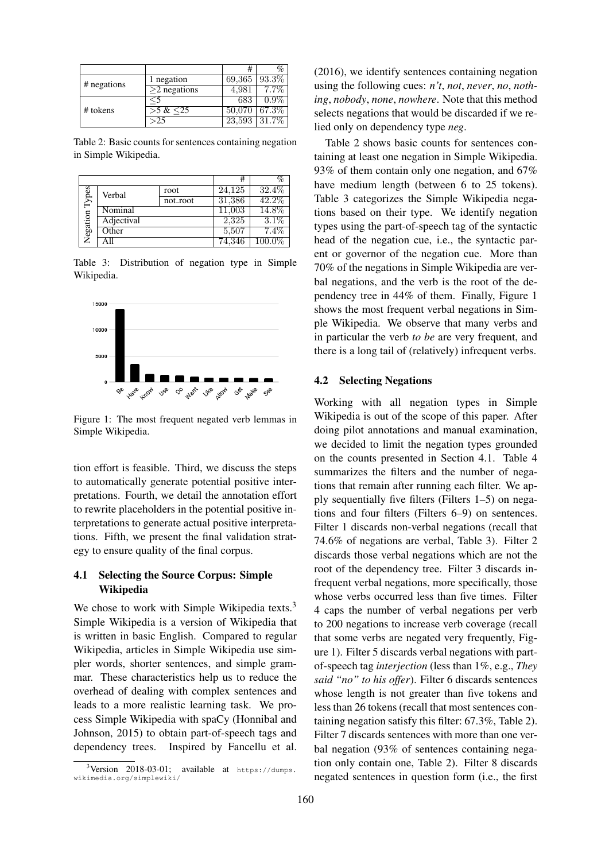|             |                      |        | %     |
|-------------|----------------------|--------|-------|
| # negations | negation             | 69,365 | 93.3% |
|             | $>$ 2 negations      | 4.981  |       |
|             | $\ddot{\phantom{1}}$ | 683    | በ ዓ%  |
| # tokens    | $>5 \& 25$           | 50,070 | 67.3% |
|             | >25                  | 23,593 | 31.79 |

Table 2: Basic counts for sentences containing negation in Simple Wikipedia.

|         |            |          | #      | %         |
|---------|------------|----------|--------|-----------|
| lypes   | Verbal     | root     | 24.125 | 32.4\%    |
|         |            | not_root | 31,386 | 42.2%     |
| egation | Nominal    | 11,003   | 14.8%  |           |
|         | Adjectival |          | 2.325  | $3.1\%$   |
|         | Other      |          | 5,507  | $7.4\%$   |
|         |            |          | 74.346 | $100.0\%$ |

Table 3: Distribution of negation type in Simple Wikipedia.



Figure 1: The most frequent negated verb lemmas in Simple Wikipedia.

tion effort is feasible. Third, we discuss the steps to automatically generate potential positive interpretations. Fourth, we detail the annotation effort to rewrite placeholders in the potential positive interpretations to generate actual positive interpretations. Fifth, we present the final validation strategy to ensure quality of the final corpus.

### 4.1 Selecting the Source Corpus: Simple Wikipedia

We chose to work with Simple Wikipedia texts.<sup>3</sup> Simple Wikipedia is a version of Wikipedia that is written in basic English. Compared to regular Wikipedia, articles in Simple Wikipedia use simpler words, shorter sentences, and simple grammar. These characteristics help us to reduce the overhead of dealing with complex sentences and leads to a more realistic learning task. We process Simple Wikipedia with spaCy (Honnibal and Johnson, 2015) to obtain part-of-speech tags and dependency trees. Inspired by Fancellu et al. (2016), we identify sentences containing negation using the following cues: *n't*, *not*, *never*, *no*, *nothing*, *nobody*, *none*, *nowhere*. Note that this method selects negations that would be discarded if we relied only on dependency type *neg*.

Table 2 shows basic counts for sentences containing at least one negation in Simple Wikipedia. 93% of them contain only one negation, and 67% have medium length (between 6 to 25 tokens). Table 3 categorizes the Simple Wikipedia negations based on their type. We identify negation types using the part-of-speech tag of the syntactic head of the negation cue, i.e., the syntactic parent or governor of the negation cue. More than 70% of the negations in Simple Wikipedia are verbal negations, and the verb is the root of the dependency tree in 44% of them. Finally, Figure 1 shows the most frequent verbal negations in Simple Wikipedia. We observe that many verbs and in particular the verb *to be* are very frequent, and there is a long tail of (relatively) infrequent verbs.

### 4.2 Selecting Negations

Working with all negation types in Simple Wikipedia is out of the scope of this paper. After doing pilot annotations and manual examination, we decided to limit the negation types grounded on the counts presented in Section 4.1. Table 4 summarizes the filters and the number of negations that remain after running each filter. We apply sequentially five filters (Filters 1–5) on negations and four filters (Filters 6–9) on sentences. Filter 1 discards non-verbal negations (recall that 74.6% of negations are verbal, Table 3). Filter 2 discards those verbal negations which are not the root of the dependency tree. Filter 3 discards infrequent verbal negations, more specifically, those whose verbs occurred less than five times. Filter 4 caps the number of verbal negations per verb to 200 negations to increase verb coverage (recall that some verbs are negated very frequently, Figure 1). Filter 5 discards verbal negations with partof-speech tag *interjection* (less than 1%, e.g., *They said "no" to his offer*). Filter 6 discards sentences whose length is not greater than five tokens and less than 26 tokens (recall that most sentences containing negation satisfy this filter: 67.3%, Table 2). Filter 7 discards sentences with more than one verbal negation (93% of sentences containing negation only contain one, Table 2). Filter 8 discards negated sentences in question form (i.e., the first

 $3$ Version 2018-03-01; available at https://dumps. wikimedia.org/simplewiki/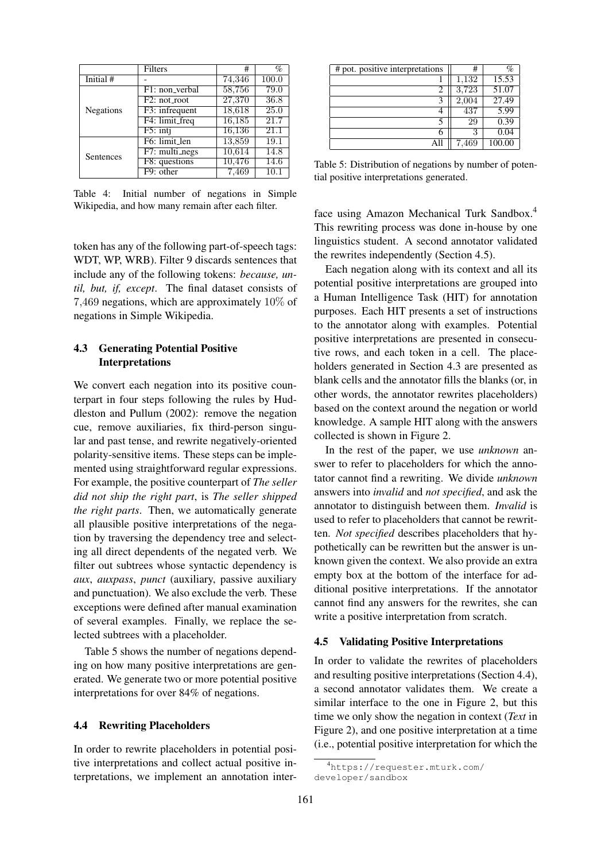|                  | Filters                   | #      | $\%$              |
|------------------|---------------------------|--------|-------------------|
| Initial #        |                           | 74,346 | 100.0             |
|                  | F1: non_verbal            | 58,756 | 79.0              |
|                  | F <sub>2</sub> : not_root | 27,370 | 36.8              |
| <b>Negations</b> | F3: infrequent            | 18,618 | 25.0              |
|                  | F4: limit_freq            | 16,185 | $\overline{21.7}$ |
|                  | $F5:$ inti                | 16,136 | 21.1              |
|                  | F6: limit_len             | 13,859 | 19.1              |
| Sentences        | F7: multi_negs            | 10,614 | 14.8              |
|                  | F8: questions             | 10,476 | 14.6              |
|                  | F9: other                 | 7,469  | 10.1              |

Table 4: Initial number of negations in Simple Wikipedia, and how many remain after each filter.

token has any of the following part-of-speech tags: WDT, WP, WRB). Filter 9 discards sentences that include any of the following tokens: *because, until, but, if, except*. The final dataset consists of 7,469 negations, which are approximately 10% of negations in Simple Wikipedia.

# 4.3 Generating Potential Positive Interpretations

We convert each negation into its positive counterpart in four steps following the rules by Huddleston and Pullum (2002): remove the negation cue, remove auxiliaries, fix third-person singular and past tense, and rewrite negatively-oriented polarity-sensitive items. These steps can be implemented using straightforward regular expressions. For example, the positive counterpart of *The seller did not ship the right part*, is *The seller shipped the right parts*. Then, we automatically generate all plausible positive interpretations of the negation by traversing the dependency tree and selecting all direct dependents of the negated verb. We filter out subtrees whose syntactic dependency is *aux*, *auxpass*, *punct* (auxiliary, passive auxiliary and punctuation). We also exclude the verb. These exceptions were defined after manual examination of several examples. Finally, we replace the selected subtrees with a placeholder.

Table 5 shows the number of negations depending on how many positive interpretations are generated. We generate two or more potential positive interpretations for over 84% of negations.

#### 4.4 Rewriting Placeholders

In order to rewrite placeholders in potential positive interpretations and collect actual positive interpretations, we implement an annotation inter-

| # pot. positive interpretations | #     | $\%$   |
|---------------------------------|-------|--------|
|                                 | 1,132 | 15.53  |
| 2                               | 3,723 | 51.07  |
| 3                               | 2,004 | 27.49  |
|                                 | 437   | 5.99   |
| 5                               | 29    | 0.39   |
| n                               | 3     | 0.04   |
| ΑII                             | 7,469 | 100.00 |

Table 5: Distribution of negations by number of potential positive interpretations generated.

face using Amazon Mechanical Turk Sandbox.<sup>4</sup> This rewriting process was done in-house by one linguistics student. A second annotator validated the rewrites independently (Section 4.5).

Each negation along with its context and all its potential positive interpretations are grouped into a Human Intelligence Task (HIT) for annotation purposes. Each HIT presents a set of instructions to the annotator along with examples. Potential positive interpretations are presented in consecutive rows, and each token in a cell. The placeholders generated in Section 4.3 are presented as blank cells and the annotator fills the blanks (or, in other words, the annotator rewrites placeholders) based on the context around the negation or world knowledge. A sample HIT along with the answers collected is shown in Figure 2.

In the rest of the paper, we use *unknown* answer to refer to placeholders for which the annotator cannot find a rewriting. We divide *unknown* answers into *invalid* and *not specified*, and ask the annotator to distinguish between them. *Invalid* is used to refer to placeholders that cannot be rewritten. *Not specified* describes placeholders that hypothetically can be rewritten but the answer is unknown given the context. We also provide an extra empty box at the bottom of the interface for additional positive interpretations. If the annotator cannot find any answers for the rewrites, she can write a positive interpretation from scratch.

#### 4.5 Validating Positive Interpretations

In order to validate the rewrites of placeholders and resulting positive interpretations (Section 4.4), a second annotator validates them. We create a similar interface to the one in Figure 2, but this time we only show the negation in context (*Text* in Figure 2), and one positive interpretation at a time (i.e., potential positive interpretation for which the

<sup>4</sup>https://requester.mturk.com/ developer/sandbox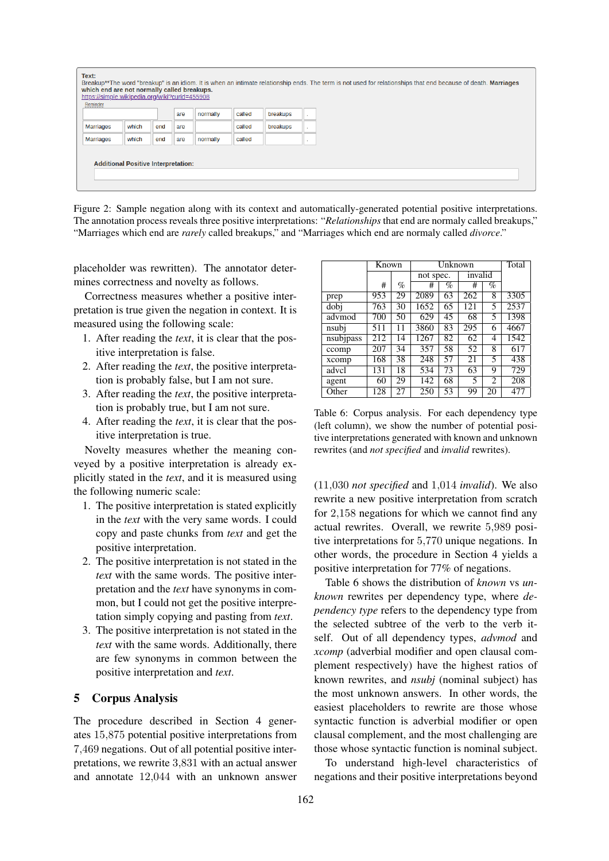| Text:<br>which end are not normally called breakups.<br>https://simple.wikipedia.org/wiki?curid=455908<br>Reminder |                                            |     |     |          |        |          | Breakup**The word "breakup" is an idiom. It is when an intimate relationship ends. The term is not used for relationships that end because of death. Marriages |
|--------------------------------------------------------------------------------------------------------------------|--------------------------------------------|-----|-----|----------|--------|----------|----------------------------------------------------------------------------------------------------------------------------------------------------------------|
|                                                                                                                    |                                            |     | are | normally | called | breakups |                                                                                                                                                                |
| <b>Marriages</b>                                                                                                   | which                                      | end | are |          | called | breakups |                                                                                                                                                                |
| Marriages                                                                                                          | which                                      | end | are | normally | called |          |                                                                                                                                                                |
|                                                                                                                    | <b>Additional Positive Interpretation:</b> |     |     |          |        |          |                                                                                                                                                                |

Figure 2: Sample negation along with its context and automatically-generated potential positive interpretations. The annotation process reveals three positive interpretations: "*Relationships* that end are normaly called breakups," "Marriages which end are *rarely* called breakups," and "Marriages which end are normaly called *divorce*."

placeholder was rewritten). The annotator determines correctness and novelty as follows.

Correctness measures whether a positive interpretation is true given the negation in context. It is measured using the following scale:

- 1. After reading the *text*, it is clear that the positive interpretation is false.
- 2. After reading the *text*, the positive interpretation is probably false, but I am not sure.
- 3. After reading the *text*, the positive interpretation is probably true, but I am not sure.
- 4. After reading the *text*, it is clear that the positive interpretation is true.

Novelty measures whether the meaning conveyed by a positive interpretation is already explicitly stated in the *text*, and it is measured using the following numeric scale:

- 1. The positive interpretation is stated explicitly in the *text* with the very same words. I could copy and paste chunks from *text* and get the positive interpretation.
- 2. The positive interpretation is not stated in the *text* with the same words. The positive interpretation and the *text* have synonyms in common, but I could not get the positive interpretation simply copying and pasting from *text*.
- 3. The positive interpretation is not stated in the *text* with the same words. Additionally, there are few synonyms in common between the positive interpretation and *text*.

# 5 Corpus Analysis

The procedure described in Section 4 generates 15,875 potential positive interpretations from 7,469 negations. Out of all potential positive interpretations, we rewrite 3,831 with an actual answer and annotate 12,044 with an unknown answer

|           | Known |      | Unknown   | Total |         |                |      |
|-----------|-------|------|-----------|-------|---------|----------------|------|
|           |       |      | not spec. |       | invalid |                |      |
|           | #     | $\%$ | #         | %     | #       | %              |      |
| prep      | 953   | 29   | 2089      | 63    | 262     | 8              | 3305 |
| dobj      | 763   | 30   | 1652      | 65    | 121     | 5              | 2537 |
| advmod    | 700   | 50   | 629       | 45    | 68      | 5              | 1398 |
| nsubi     | 511   | 11   | 3860      | 83    | 295     | 6              | 4667 |
| nsubjpass | 212   | 14   | 1267      | 82    | 62      | 4              | 1542 |
| ccomp     | 207   | 34   | 357       | 58    | 52      | 8              | 617  |
| xcomp     | 168   | 38   | 248       | 57    | 21      | 5              | 438  |
| advcl     | 131   | 18   | 534       | 73    | 63      | 9              | 729  |
| agent     | 60    | 29   | 142       | 68    | 5       | $\mathfrak{D}$ | 208  |
| Other     | 128   | 27   | 250       | 53    | 99      | 20             | 477  |

Table 6: Corpus analysis. For each dependency type (left column), we show the number of potential positive interpretations generated with known and unknown rewrites (and *not specified* and *invalid* rewrites).

(11,030 *not specified* and 1,014 *invalid*). We also rewrite a new positive interpretation from scratch for 2,158 negations for which we cannot find any actual rewrites. Overall, we rewrite 5,989 positive interpretations for 5,770 unique negations. In other words, the procedure in Section 4 yields a positive interpretation for 77% of negations.

Table 6 shows the distribution of *known* vs *unknown* rewrites per dependency type, where *dependency type* refers to the dependency type from the selected subtree of the verb to the verb itself. Out of all dependency types, *advmod* and *xcomp* (adverbial modifier and open clausal complement respectively) have the highest ratios of known rewrites, and *nsubj* (nominal subject) has the most unknown answers. In other words, the easiest placeholders to rewrite are those whose syntactic function is adverbial modifier or open clausal complement, and the most challenging are those whose syntactic function is nominal subject.

To understand high-level characteristics of negations and their positive interpretations beyond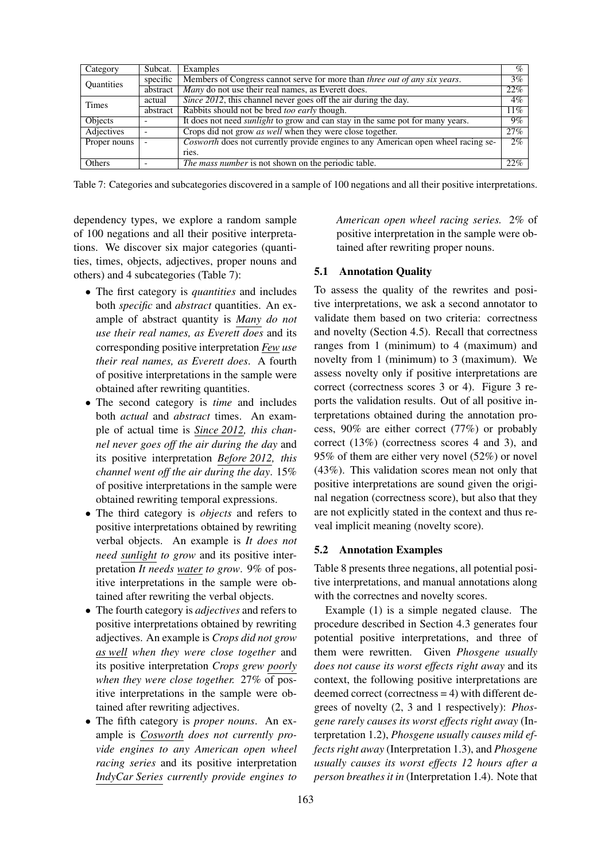| Category     | Subcat.  | Examples                                                                              | $\%$   |
|--------------|----------|---------------------------------------------------------------------------------------|--------|
| Quantities   | specific | Members of Congress cannot serve for more than three out of any six years.            | $3\%$  |
|              | abstract | Many do not use their real names, as Everett does.                                    | 22%    |
| <b>Times</b> | actual   | Since 2012, this channel never goes off the air during the day.                       | $4\%$  |
|              | abstract | Rabbits should not be bred too early though.                                          | $11\%$ |
| Objects      |          | It does not need <i>sunlight</i> to grow and can stay in the same pot for many years. | $9\%$  |
| Adjectives   |          | Crops did not grow <i>as well</i> when they were close together.                      | 27%    |
| Proper nouns |          | Cosworth does not currently provide engines to any American open wheel racing se-     | 2%     |
|              |          | ries.                                                                                 |        |
| Others       |          | <i>The mass number</i> is not shown on the periodic table.                            | 22%    |

Table 7: Categories and subcategories discovered in a sample of 100 negations and all their positive interpretations.

dependency types, we explore a random sample of 100 negations and all their positive interpretations. We discover six major categories (quantities, times, objects, adjectives, proper nouns and others) and 4 subcategories (Table 7):

- The first category is *quantities* and includes both *specific* and *abstract* quantities. An example of abstract quantity is *Many do not use their real names, as Everett does* and its corresponding positive interpretation *Few use their real names, as Everett does*. A fourth of positive interpretations in the sample were obtained after rewriting quantities.
- The second category is *time* and includes both *actual* and *abstract* times. An example of actual time is *Since 2012, this channel never goes off the air during the day* and its positive interpretation *Before 2012, this channel went off the air during the day*. 15% of positive interpretations in the sample were obtained rewriting temporal expressions.
- The third category is *objects* and refers to positive interpretations obtained by rewriting verbal objects. An example is *It does not need sunlight to grow* and its positive interpretation *It needs water to grow*. 9% of positive interpretations in the sample were obtained after rewriting the verbal objects.
- The fourth category is *adjectives* and refers to positive interpretations obtained by rewriting adjectives. An example is *Crops did not grow as well when they were close together* and its positive interpretation *Crops grew poorly when they were close together.* 27% of positive interpretations in the sample were obtained after rewriting adjectives.
- The fifth category is *proper nouns*. An example is *Cosworth does not currently provide engines to any American open wheel racing series* and its positive interpretation *IndyCar Series currently provide engines to*

*American open wheel racing series.* 2% of positive interpretation in the sample were obtained after rewriting proper nouns.

#### 5.1 Annotation Quality

To assess the quality of the rewrites and positive interpretations, we ask a second annotator to validate them based on two criteria: correctness and novelty (Section 4.5). Recall that correctness ranges from 1 (minimum) to 4 (maximum) and novelty from 1 (minimum) to 3 (maximum). We assess novelty only if positive interpretations are correct (correctness scores 3 or 4). Figure 3 reports the validation results. Out of all positive interpretations obtained during the annotation process, 90% are either correct (77%) or probably correct (13%) (correctness scores 4 and 3), and 95% of them are either very novel (52%) or novel (43%). This validation scores mean not only that positive interpretations are sound given the original negation (correctness score), but also that they are not explicitly stated in the context and thus reveal implicit meaning (novelty score).

#### 5.2 Annotation Examples

Table 8 presents three negations, all potential positive interpretations, and manual annotations along with the correctnes and novelty scores.

Example (1) is a simple negated clause. The procedure described in Section 4.3 generates four potential positive interpretations, and three of them were rewritten. Given *Phosgene usually does not cause its worst effects right away* and its context, the following positive interpretations are deemed correct (correctness = 4) with different degrees of novelty (2, 3 and 1 respectively): *Phosgene rarely causes its worst effects right away* (Interpretation 1.2), *Phosgene usually causes mild effects right away* (Interpretation 1.3), and *Phosgene usually causes its worst effects 12 hours after a person breathes it in* (Interpretation 1.4). Note that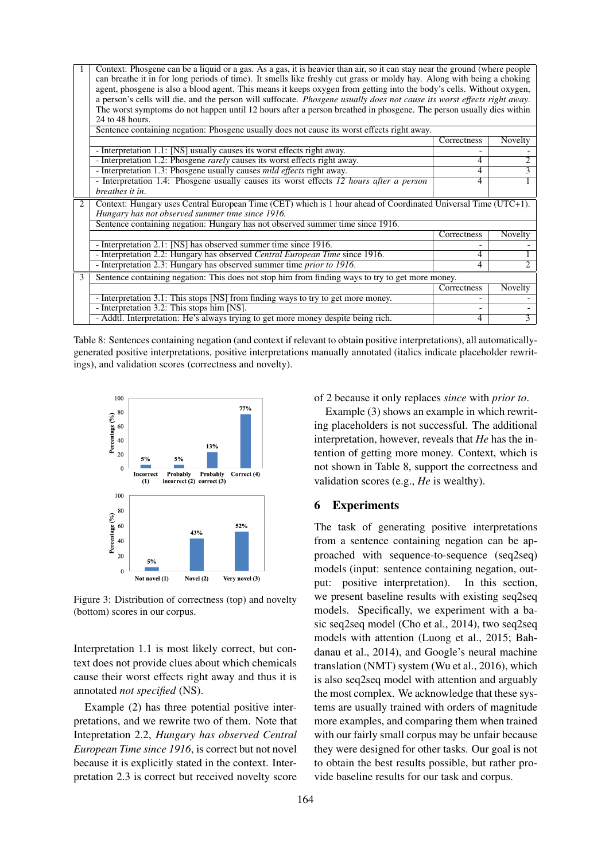|   | Context: Phosgene can be a liquid or a gas. As a gas, it is heavier than air, so it can stay near the ground (where people<br>can breathe it in for long periods of time). It smells like freshly cut grass or moldy hay. Along with being a choking<br>agent, phosgene is also a blood agent. This means it keeps oxygen from getting into the body's cells. Without oxygen,<br>a person's cells will die, and the person will suffocate. Phosgene usually does not cause its worst effects right away.<br>The worst symptoms do not happen until 12 hours after a person breathed in phosgene. The person usually dies within |             |                |  |  |  |  |  |
|---|---------------------------------------------------------------------------------------------------------------------------------------------------------------------------------------------------------------------------------------------------------------------------------------------------------------------------------------------------------------------------------------------------------------------------------------------------------------------------------------------------------------------------------------------------------------------------------------------------------------------------------|-------------|----------------|--|--|--|--|--|
|   | 24 to 48 hours.                                                                                                                                                                                                                                                                                                                                                                                                                                                                                                                                                                                                                 |             |                |  |  |  |  |  |
|   | Sentence containing negation: Phosgene usually does not cause its worst effects right away.                                                                                                                                                                                                                                                                                                                                                                                                                                                                                                                                     |             |                |  |  |  |  |  |
|   |                                                                                                                                                                                                                                                                                                                                                                                                                                                                                                                                                                                                                                 | Correctness | <b>Novelty</b> |  |  |  |  |  |
|   | - Interpretation 1.1: [NS] usually causes its worst effects right away.                                                                                                                                                                                                                                                                                                                                                                                                                                                                                                                                                         |             |                |  |  |  |  |  |
|   | - Interpretation 1.2: Phosgene <i>rarely</i> causes its worst effects right away.                                                                                                                                                                                                                                                                                                                                                                                                                                                                                                                                               | 4           | 2              |  |  |  |  |  |
|   | - Interpretation 1.3: Phosgene usually causes <i>mild effects</i> right away.                                                                                                                                                                                                                                                                                                                                                                                                                                                                                                                                                   | 4           | 3              |  |  |  |  |  |
|   | - Interpretation 1.4: Phosgene usually causes its worst effects 12 hours after a person                                                                                                                                                                                                                                                                                                                                                                                                                                                                                                                                         | 4           |                |  |  |  |  |  |
|   | breathes it in.                                                                                                                                                                                                                                                                                                                                                                                                                                                                                                                                                                                                                 |             |                |  |  |  |  |  |
| 2 | Context: Hungary uses Central European Time (CET) which is 1 hour ahead of Coordinated Universal Time (UTC+1).                                                                                                                                                                                                                                                                                                                                                                                                                                                                                                                  |             |                |  |  |  |  |  |
|   | Hungary has not observed summer time since 1916.<br>Sentence containing negation: Hungary has not observed summer time since 1916.                                                                                                                                                                                                                                                                                                                                                                                                                                                                                              |             |                |  |  |  |  |  |
|   |                                                                                                                                                                                                                                                                                                                                                                                                                                                                                                                                                                                                                                 |             |                |  |  |  |  |  |
|   | - Interpretation 2.1: [NS] has observed summer time since 1916.                                                                                                                                                                                                                                                                                                                                                                                                                                                                                                                                                                 | Correctness | <b>Novelty</b> |  |  |  |  |  |
|   |                                                                                                                                                                                                                                                                                                                                                                                                                                                                                                                                                                                                                                 | 4           |                |  |  |  |  |  |
|   | - Interpretation 2.2: Hungary has observed Central European Time since 1916.                                                                                                                                                                                                                                                                                                                                                                                                                                                                                                                                                    |             | $\overline{c}$ |  |  |  |  |  |
|   | - Interpretation 2.3: Hungary has observed summer time <i>prior to 1916</i> .                                                                                                                                                                                                                                                                                                                                                                                                                                                                                                                                                   | 4           |                |  |  |  |  |  |
| 3 | Sentence containing negation: This does not stop him from finding ways to try to get more money.                                                                                                                                                                                                                                                                                                                                                                                                                                                                                                                                |             |                |  |  |  |  |  |
|   |                                                                                                                                                                                                                                                                                                                                                                                                                                                                                                                                                                                                                                 | Correctness | <b>Novelty</b> |  |  |  |  |  |
|   | - Interpretation 3.1: This stops [NS] from finding ways to try to get more money.                                                                                                                                                                                                                                                                                                                                                                                                                                                                                                                                               |             |                |  |  |  |  |  |
|   | - Interpretation 3.2: This stops him [NS].                                                                                                                                                                                                                                                                                                                                                                                                                                                                                                                                                                                      |             |                |  |  |  |  |  |
|   | - Addtl. Interpretation: He's always trying to get more money despite being rich.                                                                                                                                                                                                                                                                                                                                                                                                                                                                                                                                               | 4           | $\overline{3}$ |  |  |  |  |  |

Table 8: Sentences containing negation (and context if relevant to obtain positive interpretations), all automaticallygenerated positive interpretations, positive interpretations manually annotated (italics indicate placeholder rewritings), and validation scores (correctness and novelty).



Figure 3: Distribution of correctness (top) and novelty (bottom) scores in our corpus.

Interpretation 1.1 is most likely correct, but context does not provide clues about which chemicals cause their worst effects right away and thus it is annotated *not specified* (NS).

Example (2) has three potential positive interpretations, and we rewrite two of them. Note that Intepretation 2.2, *Hungary has observed Central European Time since 1916*, is correct but not novel because it is explicitly stated in the context. Interpretation 2.3 is correct but received novelty score of 2 because it only replaces *since* with *prior to*.

Example (3) shows an example in which rewriting placeholders is not successful. The additional interpretation, however, reveals that *He* has the intention of getting more money. Context, which is not shown in Table 8, support the correctness and validation scores (e.g., *He* is wealthy).

### 6 Experiments

The task of generating positive interpretations from a sentence containing negation can be approached with sequence-to-sequence (seq2seq) models (input: sentence containing negation, output: positive interpretation). In this section, we present baseline results with existing seq2seq models. Specifically, we experiment with a basic seq2seq model (Cho et al., 2014), two seq2seq models with attention (Luong et al., 2015; Bahdanau et al., 2014), and Google's neural machine translation (NMT) system (Wu et al., 2016), which is also seq2seq model with attention and arguably the most complex. We acknowledge that these systems are usually trained with orders of magnitude more examples, and comparing them when trained with our fairly small corpus may be unfair because they were designed for other tasks. Our goal is not to obtain the best results possible, but rather provide baseline results for our task and corpus.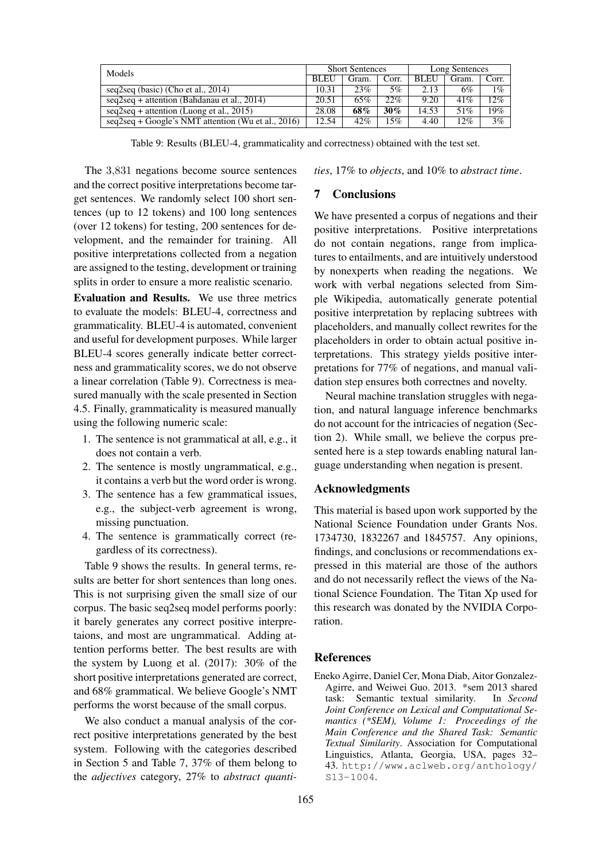| Models                                               |       | <b>Short Sentences</b> |       | Long Sentences |       |        |
|------------------------------------------------------|-------|------------------------|-------|----------------|-------|--------|
|                                                      |       | Gram.                  | Corr. | <b>BLEU</b>    | Gram. | Corr.  |
| seq2seq (basic) (Cho et al., 2014)                   | 10.31 | 23%                    | 5%    | 2.13           | 6%    | $1\%$  |
| $seq2seq + attention (Bahdanau et al., 2014)$        | 20.51 | 65%                    | 22%   | 9.20           | 41%   | $12\%$ |
| $seq2seq + attention (Luong et al., 2015)$           | 28.08 | 68%                    | 30%   | 14.53          | 51%   | 19%    |
| $seq2seq + Google's NMT$ attention (Wu et al., 2016) |       | $42\%$                 | 15%   | 4.40           | 12%   | $3\%$  |

Table 9: Results (BLEU-4, grammaticality and correctness) obtained with the test set.

The 3,831 negations become source sentences and the correct positive interpretations become target sentences. We randomly select 100 short sentences (up to 12 tokens) and 100 long sentences (over 12 tokens) for testing, 200 sentences for development, and the remainder for training. All positive interpretations collected from a negation are assigned to the testing, development or training splits in order to ensure a more realistic scenario.

Evaluation and Results. We use three metrics to evaluate the models: BLEU-4, correctness and grammaticality. BLEU-4 is automated, convenient and useful for development purposes. While larger BLEU-4 scores generally indicate better correctness and grammaticality scores, we do not observe a linear correlation (Table 9). Correctness is measured manually with the scale presented in Section 4.5. Finally, grammaticality is measured manually using the following numeric scale:

- 1. The sentence is not grammatical at all, e.g., it does not contain a verb.
- 2. The sentence is mostly ungrammatical, e.g., it contains a verb but the word order is wrong.
- 3. The sentence has a few grammatical issues, e.g., the subject-verb agreement is wrong, missing punctuation.
- 4. The sentence is grammatically correct (regardless of its correctness).

Table 9 shows the results. In general terms, results are better for short sentences than long ones. This is not surprising given the small size of our corpus. The basic seq2seq model performs poorly: it barely generates any correct positive interpretaions, and most are ungrammatical. Adding attention performs better. The best results are with the system by Luong et al. (2017): 30% of the short positive interpretations generated are correct, and 68% grammatical. We believe Google's NMT performs the worst because of the small corpus.

We also conduct a manual analysis of the correct positive interpretations generated by the best system. Following with the categories described in Section 5 and Table 7, 37% of them belong to the *adjectives* category, 27% to *abstract quanti-* *ties*, 17% to *objects*, and 10% to *abstract time*.

# 7 Conclusions

We have presented a corpus of negations and their positive interpretations. Positive interpretations do not contain negations, range from implicatures to entailments, and are intuitively understood by nonexperts when reading the negations. We work with verbal negations selected from Simple Wikipedia, automatically generate potential positive interpretation by replacing subtrees with placeholders, and manually collect rewrites for the placeholders in order to obtain actual positive interpretations. This strategy yields positive interpretations for 77% of negations, and manual validation step ensures both correctnes and novelty.

Neural machine translation struggles with negation, and natural language inference benchmarks do not account for the intricacies of negation (Section 2). While small, we believe the corpus presented here is a step towards enabling natural language understanding when negation is present.

#### Acknowledgments

This material is based upon work supported by the National Science Foundation under Grants Nos. 1734730, 1832267 and 1845757. Any opinions, findings, and conclusions or recommendations expressed in this material are those of the authors and do not necessarily reflect the views of the National Science Foundation. The Titan Xp used for this research was donated by the NVIDIA Corporation.

#### **References**

Eneko Agirre, Daniel Cer, Mona Diab, Aitor Gonzalez-Agirre, and Weiwei Guo. 2013. \*sem 2013 shared<br>task: Semantic textual similarity. In Second task: Semantic textual similarity. *Joint Conference on Lexical and Computational Semantics (\*SEM), Volume 1: Proceedings of the Main Conference and the Shared Task: Semantic Textual Similarity*. Association for Computational Linguistics, Atlanta, Georgia, USA, pages 32– 43. http://www.aclweb.org/anthology/ S13-1004.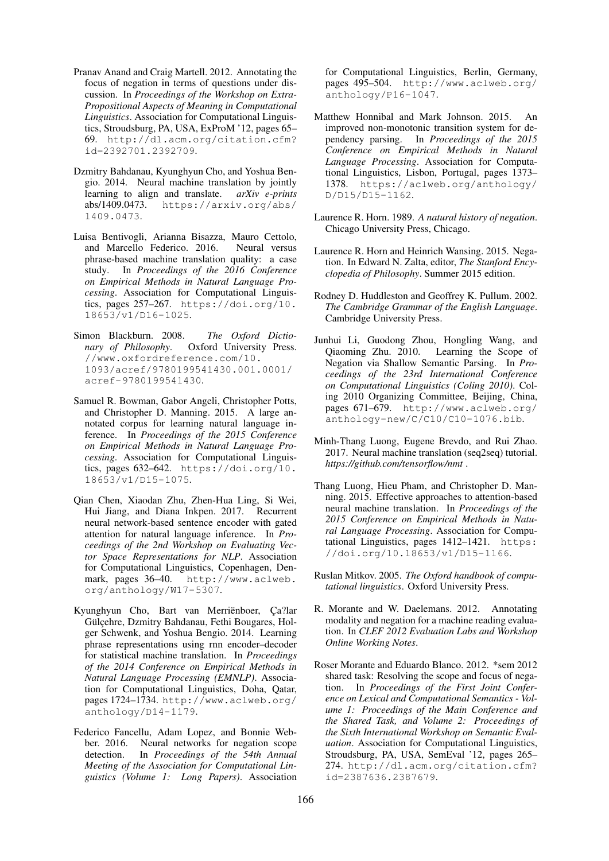- Pranav Anand and Craig Martell. 2012. Annotating the focus of negation in terms of questions under discussion. In *Proceedings of the Workshop on Extra-Propositional Aspects of Meaning in Computational Linguistics*. Association for Computational Linguistics, Stroudsburg, PA, USA, ExProM '12, pages 65– 69. http://dl.acm.org/citation.cfm? id=2392701.2392709.
- Dzmitry Bahdanau, Kyunghyun Cho, and Yoshua Bengio. 2014. Neural machine translation by jointly learning to align and translate. *arXiv e-prints* https://arxiv.org/abs/ 1409.0473.
- Luisa Bentivogli, Arianna Bisazza, Mauro Cettolo, and Marcello Federico. 2016. Neural versus phrase-based machine translation quality: a case study. In *Proceedings of the 2016 Conference on Empirical Methods in Natural Language Processing*. Association for Computational Linguistics, pages 257–267. https://doi.org/10. 18653/v1/D16-1025.
- Simon Blackburn. 2008. *The Oxford Dictionary of Philosophy*. Oxford University Press. //www.oxfordreference.com/10. 1093/acref/9780199541430.001.0001/ acref-9780199541430.
- Samuel R. Bowman, Gabor Angeli, Christopher Potts, and Christopher D. Manning. 2015. A large annotated corpus for learning natural language inference. In *Proceedings of the 2015 Conference on Empirical Methods in Natural Language Processing*. Association for Computational Linguistics, pages 632–642. https://doi.org/10. 18653/v1/D15-1075.
- Qian Chen, Xiaodan Zhu, Zhen-Hua Ling, Si Wei, Hui Jiang, and Diana Inkpen. 2017. Recurrent neural network-based sentence encoder with gated attention for natural language inference. In *Proceedings of the 2nd Workshop on Evaluating Vector Space Representations for NLP*. Association for Computational Linguistics, Copenhagen, Denmark, pages 36–40. http://www.aclweb. org/anthology/W17-5307.
- Kyunghyun Cho, Bart van Merriënboer, Ca?lar Gülçehre, Dzmitry Bahdanau, Fethi Bougares, Holger Schwenk, and Yoshua Bengio. 2014. Learning phrase representations using rnn encoder–decoder for statistical machine translation. In *Proceedings of the 2014 Conference on Empirical Methods in Natural Language Processing (EMNLP)*. Association for Computational Linguistics, Doha, Qatar, pages 1724–1734. http://www.aclweb.org/ anthology/D14-1179.
- Federico Fancellu, Adam Lopez, and Bonnie Webber. 2016. Neural networks for negation scope detection. In *Proceedings of the 54th Annual Meeting of the Association for Computational Linguistics (Volume 1: Long Papers)*. Association

for Computational Linguistics, Berlin, Germany, pages 495–504. http://www.aclweb.org/ anthology/P16-1047.

- Matthew Honnibal and Mark Johnson. 2015. An improved non-monotonic transition system for dependency parsing. In *Proceedings of the 2015 Conference on Empirical Methods in Natural Language Processing*. Association for Computational Linguistics, Lisbon, Portugal, pages 1373– 1378. https://aclweb.org/anthology/ D/D15/D15-1162.
- Laurence R. Horn. 1989. *A natural history of negation*. Chicago University Press, Chicago.
- Laurence R. Horn and Heinrich Wansing. 2015. Negation. In Edward N. Zalta, editor, *The Stanford Encyclopedia of Philosophy*. Summer 2015 edition.
- Rodney D. Huddleston and Geoffrey K. Pullum. 2002. *The Cambridge Grammar of the English Language*. Cambridge University Press.
- Junhui Li, Guodong Zhou, Hongling Wang, and Qiaoming Zhu. 2010. Learning the Scope of Negation via Shallow Semantic Parsing. In *Proceedings of the 23rd International Conference on Computational Linguistics (Coling 2010)*. Coling 2010 Organizing Committee, Beijing, China, pages 671–679. http://www.aclweb.org/ anthology-new/C/C10/C10-1076.bib.
- Minh-Thang Luong, Eugene Brevdo, and Rui Zhao. 2017. Neural machine translation (seq2seq) tutorial. *https://github.com/tensorflow/nmt* .
- Thang Luong, Hieu Pham, and Christopher D. Manning. 2015. Effective approaches to attention-based neural machine translation. In *Proceedings of the 2015 Conference on Empirical Methods in Natural Language Processing*. Association for Computational Linguistics, pages 1412–1421. https: //doi.org/10.18653/v1/D15-1166.
- Ruslan Mitkov. 2005. *The Oxford handbook of computational linguistics*. Oxford University Press.
- R. Morante and W. Daelemans. 2012. Annotating modality and negation for a machine reading evaluation. In *CLEF 2012 Evaluation Labs and Workshop Online Working Notes*.
- Roser Morante and Eduardo Blanco. 2012. \*sem 2012 shared task: Resolving the scope and focus of negation. In *Proceedings of the First Joint Conference on Lexical and Computational Semantics - Volume 1: Proceedings of the Main Conference and the Shared Task, and Volume 2: Proceedings of the Sixth International Workshop on Semantic Evaluation*. Association for Computational Linguistics, Stroudsburg, PA, USA, SemEval '12, pages 265– 274. http://dl.acm.org/citation.cfm? id=2387636.2387679.